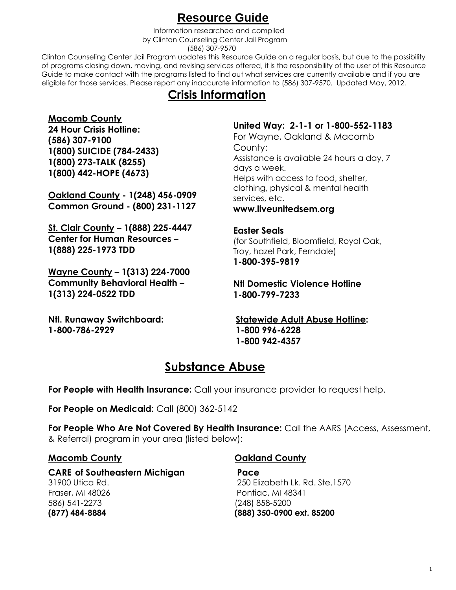## **Resource Guide**

 Information researched and compiled by Clinton Counseling Center Jail Program (586) 307-9570

Clinton Counseling Center Jail Program updates this Resource Guide on a regular basis, but due to the possibility of programs closing down, moving, and revising services offered, it is the responsibility of the user of this Resource Guide to make contact with the programs listed to find out what services are currently available and if you are eligible for those services. Please report any inaccurate information to (586) 307-9570. Updated May, 2012.

## **Crisis Information**

#### **Macomb County**

**24 Hour Crisis Hotline: (586) 307-9100 1(800) SUICIDE (784-2433) 1(800) 273-TALK (8255) 1(800) 442-HOPE (4673)**

**Oakland County - 1(248) 456-0909 Common Ground - (800) 231-1127**

**St. Clair County – 1(888) 225-4447 Center for Human Resources – 1(888) 225-1973 TDD**

**Wayne County – 1(313) 224-7000 Community Behavioral Health – 1(313) 224-0522 TDD**

**Ntl. Runaway Switchboard: 1-800-786-2929**

#### **United Way: 2-1-1 or 1-800-552-1183**

For Wayne, Oakland & Macomb County: Assistance is available 24 hours a day, 7 days a week. Helps with access to food, shelter, clothing, physical & mental health services, etc.

#### **www.liveunitedsem.org**

#### **Easter Seals**

(for Southfield, Bloomfield, Royal Oak, Troy, hazel Park, Ferndale) **1-800-395-9819**

#### **Ntl Domestic Violence Hotline 1-800-799-7233**

**Statewide Adult Abuse Hotline: 1-800 996-6228 1-800 942-4357**

## **Substance Abuse**

**For People with Health Insurance:** Call your insurance provider to request help.

**For People on Medicaid:** Call (800) 362-5142

**For People Who Are Not Covered By Health Insurance:** Call the AARS (Access, Assessment, & Referral) program in your area (listed below):

#### **Macomb County**

**CARE of Southeastern Michigan** 31900 Utica Rd. Fraser, MI 48026 586) 541-2273 **(877) 484-8884**

## **Oakland County**

**Pace** 250 Elizabeth Lk. Rd. Ste.1570 Pontiac, MI 48341 (248) 858-5200 **(888) 350-0900 ext. 85200**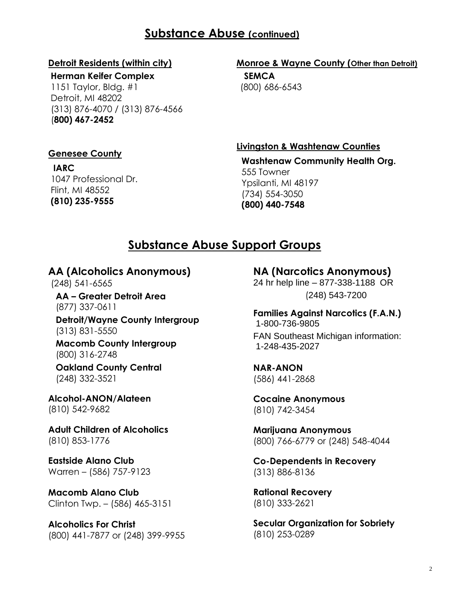## **Substance Abuse (continued)**

#### **Detroit Residents (within city)**

**Herman Keifer Complex** 1151 Taylor, Bldg. #1 Detroit, MI 48202 (313) 876-4070 / (313) 876-4566 (**800) 467-2452**

#### **Genesee County**

**IARC** 1047 Professional Dr. Flint, MI 48552 **(810) 235-9555**

## **Monroe & Wayne County (Other than Detroit)**

 **SEMCA**  (800) 686-6543

**Livingston & Washtenaw Counties**

 **Washtenaw Community Health Org.** 555 Towner Ypsilanti, MI 48197 (734) 554-3050  **(800) 440-7548**

## **Substance Abuse Support Groups**

**AA (Alcoholics Anonymous)** 

(248) 541-6565

 **AA – Greater Detroit Area** (877) 337-0611  **Detroit/Wayne County Intergroup**

(313) 831-5550

 **Macomb County Intergroup** (800) 316-2748

 **Oakland County Central** (248) 332-3521

**Alcohol-ANON/Alateen** (810) 542-9682

**Adult Children of Alcoholics** (810) 853-1776

**Eastside Alano Club** Warren – (586) 757-9123

**Macomb Alano Club** Clinton Twp. – (586) 465-3151

**Alcoholics For Christ** (800) 441-7877 or (248) 399-9955

**NA (Narcotics Anonymous)** 24 hr help line – 877-338-1188 OR (248) 543-7200

**Families Against Narcotics (F.A.N.)** 1-800-736-9805 FAN Southeast Michigan information: 1-248-435-2027

**NAR-ANON** (586) 441-2868

**Cocaine Anonymous** (810) 742-3454

**Marijuana Anonymous** (800) 766-6779 or (248) 548-4044

**Co-Dependents in Recovery** (313) 886-8136

**Rational Recovery** (810) 333-2621

**Secular Organization for Sobriety** (810) 253-0289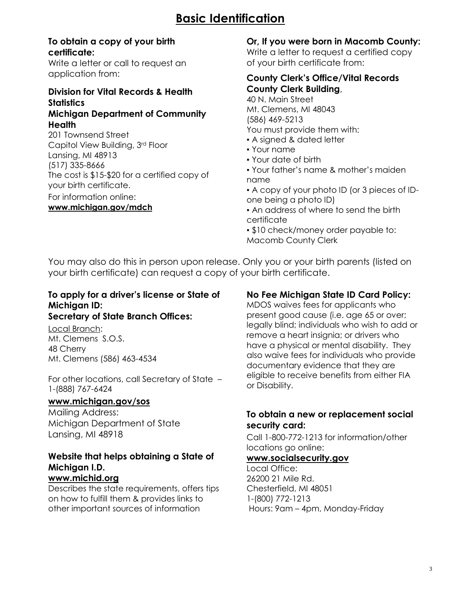#### **To obtain a copy of your birth certificate:**

Write a letter or call to request an application from:

#### **Division for Vital Records & Health Statistics**

#### **Michigan Department of Community Health**

201 Townsend Street Capitol View Building, 3rd Floor Lansing, MI 48913 (517) 335-8666 The cost is \$15-\$20 for a certified copy of your birth certificate. For information online:

#### **www.michigan.gov/mdch**

#### **Or, If you were born in Macomb County:**

Write a letter to request a certified copy of your birth certificate from:

#### **County Clerk's Office/Vital Records County Clerk Building**,

40 N. Main Street Mt. Clemens, MI 48043 (586) 469-5213 You must provide them with: ▪ A signed & dated letter

- 
- Your name
- Your date of birth
- Your father's name & mother's maiden name
- A copy of your photo ID (or 3 pieces of IDone being a photo ID)
- An address of where to send the birth certificate

▪ \$10 check/money order payable to: Macomb County Clerk

You may also do this in person upon release. Only you or your birth parents (listed on your birth certificate) can request a copy of your birth certificate.

#### **To apply for a driver's license or State of Michigan ID: Secretary of State Branch Offices:**

Local Branch: Mt. Clemens S.O.S. 48 Cherry Mt. Clemens (586) 463-4534

For other locations, call Secretary of State – 1-(888) 767-6424

#### **[www.michigan.gov/sos](http://www.michigan.gov/sos)**

Mailing Address: Michigan Department of State Lansing, MI 48918

## **Website that helps obtaining a State of Michigan I.D.**

#### **www.michid.org**

Describes the state requirements, offers tips on how to fulfill them & provides links to other important sources of information

#### **No Fee Michigan State ID Card Policy:**

MDOS waives fees for applicants who present good cause (i.e. age 65 or over; legally blind; individuals who wish to add or remove a heart insignia; or drivers who have a physical or mental disability. They also waive fees for individuals who provide documentary evidence that they are eligible to receive benefits from either FIA or Disability.

#### **To obtain a new or replacement social security card:**

Call 1-800-772-1213 for information/other locations go online:

#### **[www.socialsecurity.gov](http://www.socialsecurity.gov/)**

Local Office: 26200 21 Mile Rd. Chesterfield, MI 48051 1-(800) 772-1213 Hours: 9am – 4pm, Monday-Friday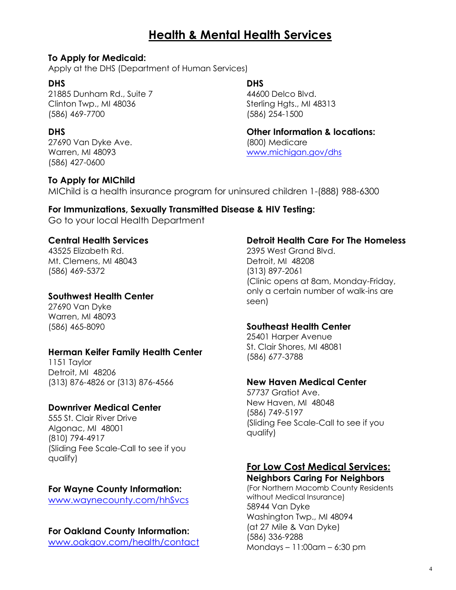## **Health & Mental Health Services**

#### **To Apply for Medicaid:**

Apply at the DHS (Department of Human Services)

#### **DHS**

21885 Dunham Rd., Suite 7 Clinton Twp., MI 48036 (586) 469-7700

#### **DHS**

27690 Van Dyke Ave. Warren, MI 48093 (586) 427-0600

#### **To Apply for MIChild**

**DHS**

44600 Delco Blvd. Sterling Hgts., MI 48313 (586) 254-1500

**Other Information & locations:** (800) Medicare [www.michigan.gov/dhs](http://www.michigan.gov/dhs)

MIChild is a health insurance program for uninsured children 1-(888) 988-6300

# **For Immunizations, Sexually Transmitted Disease & HIV Testing:**

Go to your local Health Department

#### **Central Health Services**

43525 Elizabeth Rd. Mt. Clemens, MI 48043 (586) 469-5372

#### **Southwest Health Center**

27690 Van Dyke Warren, MI 48093 (586) 465-8090

#### **Herman Keifer Family Health Center**

1151 Taylor Detroit, MI 48206 (313) 876-4826 or (313) 876-4566

#### **Downriver Medical Center**

555 St. Clair River Drive Algonac, MI 48001 (810) 794-4917 (Sliding Fee Scale-Call to see if you qualify)

#### **For Wayne County Information:**

[www.waynecounty.com/hhSvcs](http://www.waynecounty.com/hhSvcs)

#### **For Oakland County Information:**

[www.oakgov.com/health/contact](http://www.oakgov.com/health/contact)

#### **Detroit Health Care For The Homeless**

2395 West Grand Blvd. Detroit, MI 48208 (313) 897-2061 (Clinic opens at 8am, Monday-Friday, only a certain number of walk-ins are seen)

#### **Southeast Health Center**

25401 Harper Avenue St. Clair Shores, MI 48081 (586) 677-3788

#### **New Haven Medical Center**

57737 Gratiot Ave. New Haven, MI 48048 (586) 749-5197 (Sliding Fee Scale-Call to see if you qualify)

## **For Low Cost Medical Services:**

**Neighbors Caring For Neighbors** (For Northern Macomb County Residents without Medical Insurance) 58944 Van Dyke Washington Twp., MI 48094 (at 27 Mile & Van Dyke) (586) 336-9288 Mondays – 11:00am – 6:30 pm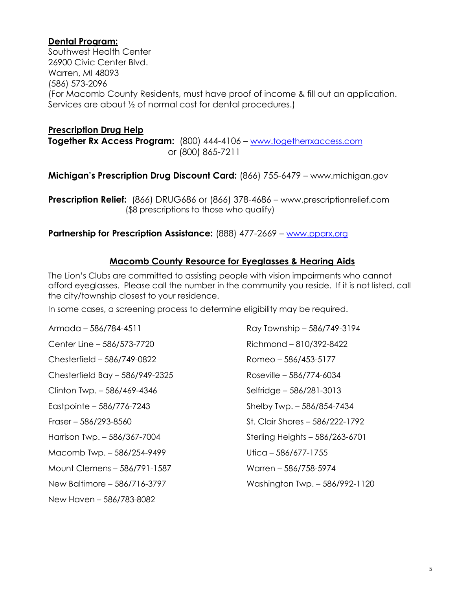#### **Dental Program:**

Southwest Health Center 26900 Civic Center Blvd. Warren, MI 48093 (586) 573-2096 (For Macomb County Residents, must have proof of income & fill out an application. Services are about ½ of normal cost for dental procedures.)

#### **Prescription Drug Help**

**Together Rx Access Program:** (800) 444-4106 – [www.togetherrxaccess.com](http://www.togetherrxaccess.com/) or (800) 865-7211

**Michigan's Prescription Drug Discount Card:** (866) 755-6479 – www.michigan.gov

**Prescription Relief:** (866) DRUG686 or (866) 378-4686 – www.prescriptionrelief.com (\$8 prescriptions to those who qualify)

#### **Partnership for Prescription Assistance:** (888) 477-2669 – [www.pparx.org](http://www.pparx.org/)

#### **Macomb County Resource for Eyeglasses & Hearing Aids**

The Lion's Clubs are committed to assisting people with vision impairments who cannot afford eyeglasses. Please call the number in the community you reside. If it is not listed, call the city/township closest to your residence.

In some cases, a screening process to determine eligibility may be required.

Armada – 586/784-4511 Center Line – 586/573-7720 Chesterfield – 586/749-0822 Chesterfield Bay – 586/949-2325 Clinton Twp. – 586/469-4346 Eastpointe – 586/776-7243 Fraser – 586/293-8560 Harrison Twp. – 586/367-7004 Macomb Twp. – 586/254-9499 Mount Clemens – 586/791-1587 New Baltimore – 586/716-3797 New Haven – 586/783-8082

Ray Township – 586/749-3194 Richmond – 810/392-8422 Romeo – 586/453-5177 Roseville – 586/774-6034 Selfridge – 586/281-3013 Shelby Twp. – 586/854-7434 St. Clair Shores – 586/222-1792 Sterling Heights – 586/263-6701 Utica – 586/677-1755 Warren – 586/758-5974 Washington Twp. – 586/992-1120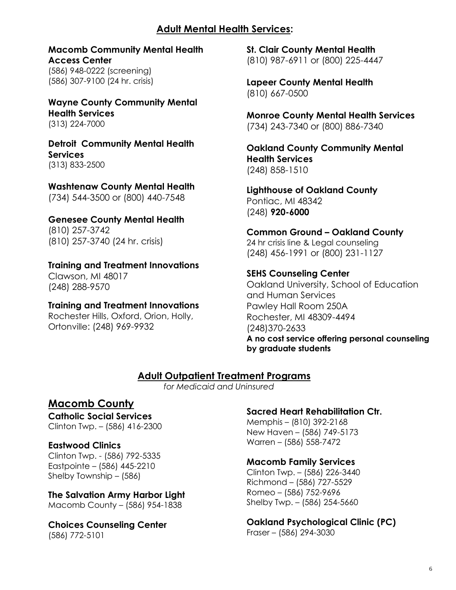#### **Adult Mental Health Services:**

**Macomb Community Mental Health Access Center** (586) 948-0222 (screening) (586) 307-9100 (24 hr. crisis)

**Wayne County Community Mental Health Services** (313) 224-7000

**Detroit Community Mental Health Services** (313) 833-2500

**Washtenaw County Mental Health** (734) 544-3500 or (800) 440-7548

**Genesee County Mental Health** (810) 257-3742 (810) 257-3740 (24 hr. crisis)

**Training and Treatment Innovations** Clawson, MI 48017 (248) 288-9570

**Training and Treatment Innovations** Rochester Hills, Oxford, Orion, Holly, Ortonville: (248) 969-9932

**St. Clair County Mental Health** (810) 987-6911 or (800) 225-4447

**Lapeer County Mental Health** (810) 667-0500

**Monroe County Mental Health Services** (734) 243-7340 or (800) 886-7340

**Oakland County Community Mental Health Services** (248) 858-1510

**Lighthouse of Oakland County** Pontiac, MI 48342 (248) **920-6000**

**Common Ground – Oakland County** 24 hr crisis line & Legal counseling (248) 456-1991 or (800) 231-1127

**SEHS Counseling Center** Oakland University, School of Education and Human Services Pawley Hall Room 250A Rochester, MI 48309-4494 (248)370-2633 **A no cost service offering personal counseling by graduate students**

 **Adult Outpatient Treatment Programs**

 *for Medicaid and Uninsured*

### **Macomb County**

**Catholic Social Services** Clinton Twp. – (586) 416-2300

**Eastwood Clinics**

Clinton Twp. - (586) 792-5335 Eastpointe – (586) 445-2210 Shelby Township – (586)

**The Salvation Army Harbor Light** Macomb County – (586) 954-1838

**Choices Counseling Center** (586) 772-5101

### **Sacred Heart Rehabilitation Ctr.**

Memphis – (810) 392-2168 New Haven – (586) 749-5173 Warren – (586) 558-7472

**Macomb Family Services**

Clinton Twp. – (586) 226-3440 Richmond – (586) 727-5529 Romeo – (586) 752-9696 Shelby Twp. – (586) 254-5660

**Oakland Psychological Clinic (PC)** Fraser – (586) 294-3030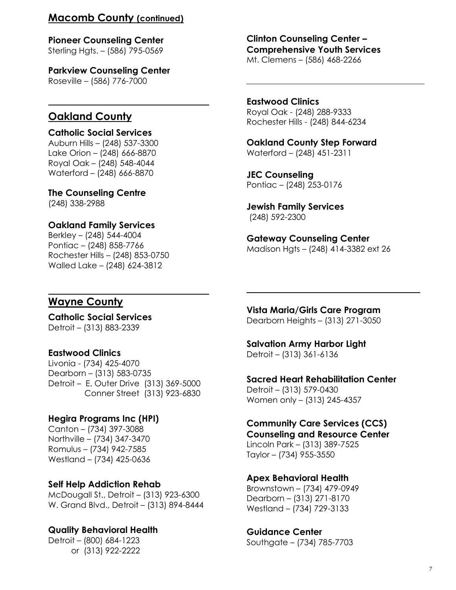#### **Macomb County (continued)**

**Pioneer Counseling Center** Sterling Hgts. – (586) 795-0569

**Parkview Counseling Center** Roseville – (586) 776-7000

## **Oakland County**

**Catholic Social Services** Auburn Hills – (248) 537-3300 Lake Orion – (248) 666-8870 Royal Oak – (248) 548-4044 Waterford – (248) 666-8870

**The Counseling Centre** (248) 338-2988

**Oakland Family Services** Berkley – (248) 544-4004 Pontiac – (248) 858-7766 Rochester Hills – (248) 853-0750 Walled Lake – (248) 624-3812

**Clinton Counseling Center – Comprehensive Youth Services** Mt. Clemens – (586) 468-2266

**Eastwood Clinics** Royal Oak - (248) 288-9333 Rochester Hills - (248) 844-6234

**Oakland County Step Forward** Waterford – (248) 451-2311

**JEC Counseling** Pontiac – (248) 253-0176

**Jewish Family Services** (248) 592-2300

**Gateway Counseling Center** Madison Hgts – (248) 414-3382 ext 26

#### **Wayne County**

**Catholic Social Services** Detroit – (313) 883-2339

#### **Eastwood Clinics**

Livonia - (734) 425-4070 Dearborn – (313) 583-0735 Detroit – E. Outer Drive (313) 369-5000 Conner Street (313) 923-6830

#### **Hegira Programs Inc (HPI)**

Canton – (734) 397-3088 Northville – (734) 347-3470 Romulus – (734) 942-7585 Westland – (734) 425-0636

#### **Self Help Addiction Rehab**

McDougall St., Detroit – (313) 923-6300 W. Grand Blvd., Detroit – (313) 894-8444

#### **Quality Behavioral Health**

Detroit – (800) 684-1223 or (313) 922-2222 **Vista Maria/Girls Care Program** Dearborn Heights – (313) 271-3050

#### **Salvation Army Harbor Light**

Detroit – (313) 361-6136

**Sacred Heart Rehabilitation Center**

Detroit – (313) 579-0430 Women only – (313) 245-4357

#### **Community Care Services (CCS)**

**Counseling and Resource Center** Lincoln Park – (313) 389-7525 Taylor – (734) 955-3550

#### **Apex Behavioral Health**

Brownstown – (734) 479-0949 Dearborn – (313) 271-8170 Westland – (734) 729-3133

**Guidance Center** Southgate – (734) 785-7703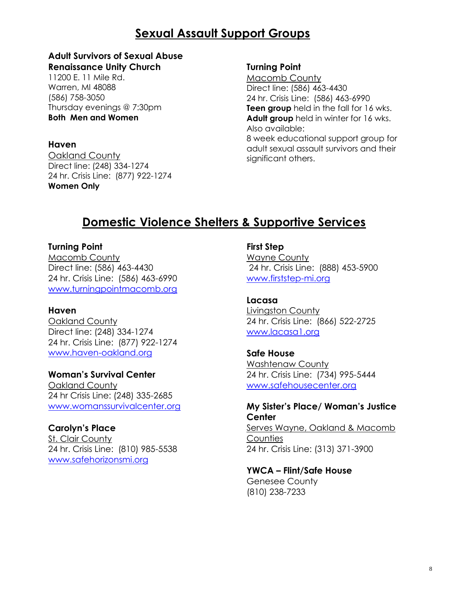## **Sexual Assault Support Groups**

#### **Adult Survivors of Sexual Abuse Renaissance Unity Church**

11200 E. 11 Mile Rd. Warren, MI 48088 (586) 758-3050 Thursday evenings @ 7:30pm **Both Men and Women** 

#### **Haven**

Oakland County Direct line: (248) 334-1274 24 hr. Crisis Line: (877) 922-1274 **Women Only**

#### **Turning Point**

Macomb County Direct line: (586) 463-4430 24 hr. Crisis Line: (586) 463-6990 **Teen group** held in the fall for 16 wks. **Adult group** held in winter for 16 wks. Also available: 8 week educational support group for adult sexual assault survivors and their significant others.

## **Domestic Violence Shelters & Supportive Services**

#### **Turning Point**

Macomb County Direct line: (586) 463-4430 24 hr. Crisis Line: (586) 463-6990 [www.turningpointmacomb.org](http://www.turningpointmacomb.org/)

#### **Haven**

Oakland County Direct line: (248) 334-1274 24 hr. Crisis Line: (877) 922-1274 [www.haven-oakland.org](http://www.haven-oakland.org/)

#### **Woman's Survival Center**

Oakland County 24 hr Crisis Line: (248) 335-2685 [www.womanssurvivalcenter.org](http://www.womanssurvivalcenter.org/)

#### **Carolyn's Place**

St. Clair County 24 hr. Crisis Line: (810) 985-5538 [www.safehorizonsmi.org](http://www.safehorizonsmi.org/)

#### **First Step**

Wayne County 24 hr. Crisis Line: (888) 453-5900 [www.firststep-mi.org](http://www.firststep-mi.org/)

#### **Lacasa**

**Livingston County** 24 hr. Crisis Line: (866) 522-2725 [www.lacasa1.org](http://www.lacasa1.org/)

#### **Safe House**

Washtenaw County 24 hr. Crisis Line: (734) 995-5444 [www.safehousecenter.org](http://www.safehousecenter.org/)

#### **My Sister's Place/ Woman's Justice Center**

Serves Wayne, Oakland & Macomb **Counties** 24 hr. Crisis Line: (313) 371-3900

### **YWCA – Flint/Safe House**

Genesee County (810) 238-7233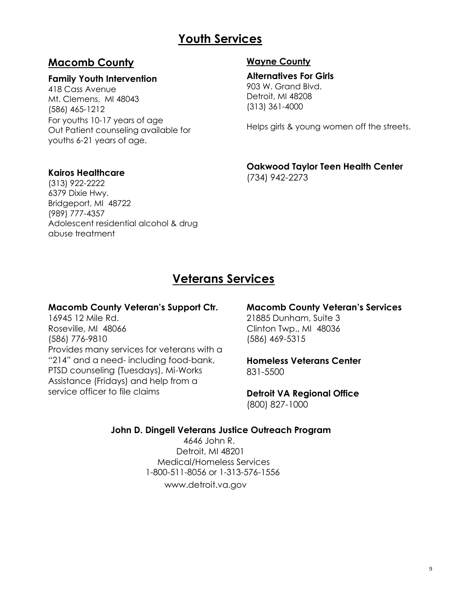## **Youth Services**

## **Macomb County**

#### **Family Youth Intervention**

418 Cass Avenue Mt. Clemens, MI 48043 (586) 465-1212 For youths 10-17 years of age Out Patient counseling available for youths 6-21 years of age.

#### **Kairos Healthcare**

(313) 922-2222 6379 Dixie Hwy. Bridgeport, MI 48722 (989) 777-4357 Adolescent residential alcohol & drug abuse treatment

#### **Wayne County**

(313) 361-4000

**Alternatives For Girls** 903 W. Grand Blvd. Detroit, MI 48208

Helps girls & young women off the streets.

#### **Oakwood Taylor Teen Health Center** (734) 942-2273

## **Veterans Services**

#### **Macomb County Veteran's Support Ctr.**

16945 12 Mile Rd. Roseville, MI 48066 (586) 776-9810 Provides many services for veterans with a "214" and a need- including food-bank, PTSD counseling (Tuesdays), Mi-Works Assistance (Fridays) and help from a service officer to file claims

#### **Macomb County Veteran's Services**

21885 Dunham, Suite 3 Clinton Twp., MI 48036 (586) 469-5315

#### **Homeless Veterans Center** 831-5500

**Detroit VA Regional Office** (800) 827-1000

#### **John D. Dingell Veterans Justice Outreach Program**

 4646 John R. Detroit, MI 48201 Medical/Homeless Services 1-800-511-8056 or 1-313-576-1556 www.detroit.va.gov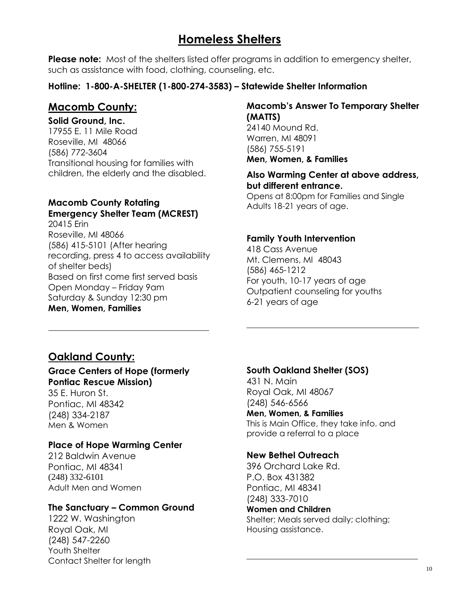## **Homeless Shelters**

**Please note:** Most of the shelters listed offer programs in addition to emergency shelter, such as assistance with food, clothing, counseling, etc.

#### **Hotline: 1-800-A-SHELTER (1-800-274-3583) – Statewide Shelter Information**

### **Macomb County:**

#### **Solid Ground, Inc.**

17955 E. 11 Mile Road Roseville, MI 48066 (586) 772-3604 Transitional housing for families with children, the elderly and the disabled.

#### **Macomb County Rotating Emergency Shelter Team (MCREST)**

20415 Erin Roseville, MI 48066 (586) 415-5101 (After hearing recording, press 4 to access availability of shelter beds) Based on first come first served basis Open Monday – Friday 9am Saturday & Sunday 12:30 pm **Men, Women, Families**

#### **Macomb's Answer To Temporary Shelter (MATTS)**

24140 Mound Rd. Warren, MI 48091 (586) 755-5191 **Men, Women, & Families**

#### **Also Warming Center at above address, but different entrance.**

Opens at 8:00pm for Families and Single Adults 18-21 years of age.

#### **Family Youth Intervention**

418 Cass Avenue Mt. Clemens, MI 48043 (586) 465-1212 For youth, 10-17 years of age Outpatient counseling for youths 6-21 years of age

## **Oakland County:**

#### **Grace Centers of Hope (formerly Pontiac Rescue Mission)**

35 E. Huron St. Pontiac, MI 48342 (248) 334-2187 Men & Women

#### **Place of Hope Warming Center**

212 Baldwin Avenue Pontiac, MI 48341 (248) 332-6101 Adult Men and Women

#### **The Sanctuary – Common Ground**

1222 W. Washington Royal Oak, MI (248) 547-2260 Youth Shelter Contact Shelter for length

#### **South Oakland Shelter (SOS)**

431 N. Main Royal Oak, MI 48067 (248) 546-6566 **Men, Women, & Families** This is Main Office, they take info. and provide a referral to a place

#### **New Bethel Outreach**

396 Orchard Lake Rd. P.O. Box 431382 Pontiac, MI 48341 (248) 333-7010 **Women and Children**

Shelter; Meals served daily; clothing; Housing assistance.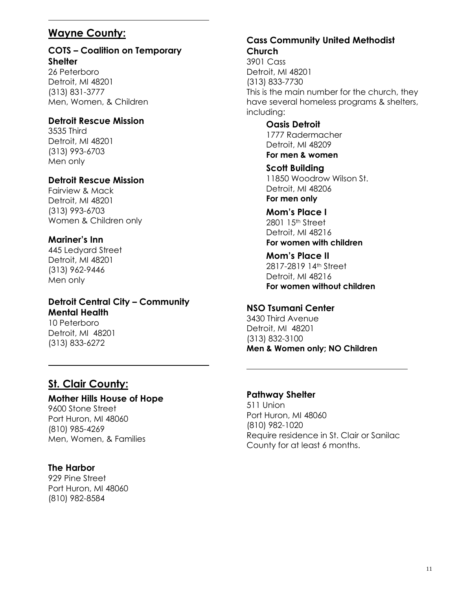## **Wayne County:**

#### **COTS – Coalition on Temporary Shelter**

26 Peterboro Detroit, MI 48201 (313) 831-3777 Men, Women, & Children

#### **Detroit Rescue Mission**

3535 Third Detroit, MI 48201 (313) 993-6703 Men only

#### **Detroit Rescue Mission**

Fairview & Mack Detroit, MI 48201 (313) 993-6703 Women & Children only

#### **Mariner's Inn**

445 Ledyard Street Detroit, MI 48201 (313) 962-9446 Men only

#### **Detroit Central City – Community Mental Health**

10 Peterboro Detroit, MI 48201 (313) 833-6272

## **St. Clair County:**

#### **Mother Hills House of Hope**

9600 Stone Street Port Huron, MI 48060 (810) 985-4269 Men, Women, & Families

#### **The Harbor**

929 Pine Street Port Huron, MI 48060 (810) 982-8584

#### **Cass Community United Methodist Church**

3901 Cass Detroit, MI 48201 (313) 833-7730 This is the main number for the church, they have several homeless programs & shelters, including:

> **Oasis Detroit** 1777 Radermacher Detroit, MI 48209 **For men & women**

**Scott Building** 11850 Woodrow Wilson St. Detroit, MI 48206 **For men only**

**Mom's Place I** 2801 15th Street Detroit, MI 48216 **For women with children**

**Mom's Place II** 2817-2819 14th Street Detroit, MI 48216 **For women without children**

#### **NSO Tsumani Center**

3430 Third Avenue Detroit, MI 48201 (313) 832-3100 **Men & Women only; NO Children**

#### **Pathway Shelter**

511 Union Port Huron, MI 48060 (810) 982-1020 Require residence in St. Clair or Sanilac County for at least 6 months.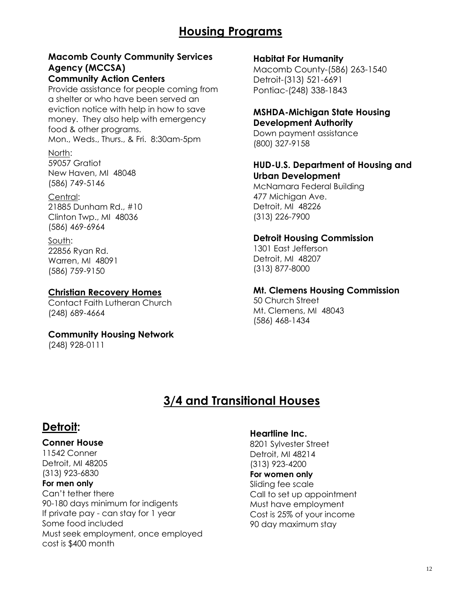## **Housing Programs**

## **Macomb County Community Services Agency (MCCSA)**

#### **Community Action Centers**

Provide assistance for people coming from a shelter or who have been served an eviction notice with help in how to save money. They also help with emergency food & other programs.

Mon., Weds., Thurs., & Fri. 8:30am-5pm

#### North:

59057 Gratiot New Haven, MI 48048 (586) 749-5146

#### Central:

21885 Dunham Rd., #10 Clinton Twp., MI 48036 (586) 469-6964

#### South: 22856 Ryan Rd.

Warren, MI 48091 (586) 759-9150

#### **Christian Recovery Homes**

Contact Faith Lutheran Church (248) 689-4664

### **Community Housing Network**

(248) 928-0111

#### **Habitat For Humanity**

Macomb County-(586) 263-1540 Detroit-(313) 521-6691 Pontiac-(248) 338-1843

#### **MSHDA-Michigan State Housing Development Authority**

Down payment assistance (800) 327-9158

#### **HUD-U.S. Department of Housing and Urban Development**

McNamara Federal Building 477 Michigan Ave. Detroit, MI 48226 (313) 226-7900

#### **Detroit Housing Commission**

1301 East Jefferson Detroit, MI 48207 (313) 877-8000

#### **Mt. Clemens Housing Commission**

50 Church Street Mt. Clemens, MI 48043 (586) 468-1434

## **3/4 and Transitional Houses**

## **Detroit:**

#### **Conner House**

11542 Conner Detroit, MI 48205 (313) 923-6830

#### **For men only**

Can't tether there 90-180 days minimum for indigents If private pay - can stay for 1 year Some food included Must seek employment, once employed cost is \$400 month

#### **Heartline Inc.**

8201 Sylvester Street Detroit, MI 48214 (313) 923-4200 **For women only** Sliding fee scale Call to set up appointment Must have employment Cost is 25% of your income 90 day maximum stay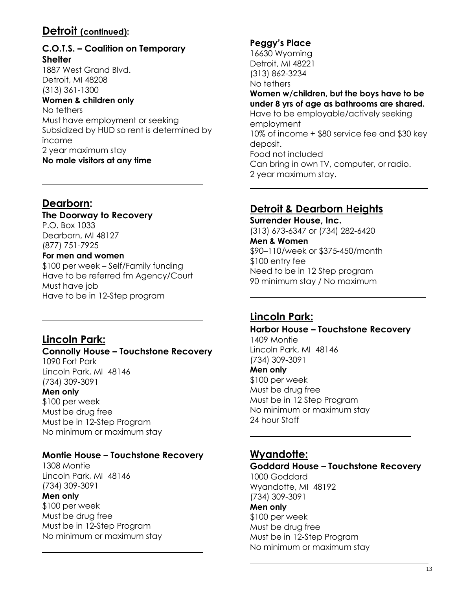## **Detroit (continued):**

### **C.O.T.S. – Coalition on Temporary Shelter**

1887 West Grand Blvd. Detroit, MI 48208 (313) 361-1300 **Women & children only** No tethers Must have employment or seeking Subsidized by HUD so rent is determined by income 2 year maximum stay **No male visitors at any time**

### **Dearborn:**

## **The Doorway to Recovery**

P.O. Box 1033 Dearborn, MI 48127 (877) 751-7925

#### **For men and women**

\$100 per week – Self/Family funding Have to be referred fm Agency/Court Must have job Have to be in 12-Step program

## **Lincoln Park:**

#### **Connolly House – Touchstone Recovery**

1090 Fort Park Lincoln Park, MI 48146 (734) 309-3091

**Men only**

\$100 per week Must be drug free Must be in 12-Step Program No minimum or maximum stay

#### **Montie House – Touchstone Recovery**

1308 Montie Lincoln Park, MI 48146 (734) 309-3091 **Men only** \$100 per week Must be drug free Must be in 12-Step Program No minimum or maximum stay

#### **Peggy's Place**

16630 Wyoming Detroit, MI 48221 (313) 862-3234 No tethers

#### **Women w/children, but the boys have to be under 8 yrs of age as bathrooms are shared.**

Have to be employable/actively seeking employment 10% of income + \$80 service fee and \$30 key deposit. Food not included Can bring in own TV, computer, or radio. 2 year maximum stay.

## **Detroit & Dearborn Heights**

**Surrender House, Inc.** (313) 673-6347 or (734) 282-6420 **Men & Women** \$90–110/week or \$375-450/month \$100 entry fee Need to be in 12 Step program 90 minimum stay / No maximum

## **Lincoln Park:**

## **Harbor House – Touchstone Recovery** 1409 Montie

Lincoln Park, MI 48146 (734) 309-3091

#### **Men only**

\$100 per week Must be drug free Must be in 12 Step Program No minimum or maximum stay 24 hour Staff

## **Wyandotte:**

## **Goddard House – Touchstone Recovery**

1000 Goddard Wyandotte, MI 48192 (734) 309-3091 **Men only** \$100 per week Must be drug free Must be in 12-Step Program No minimum or maximum stay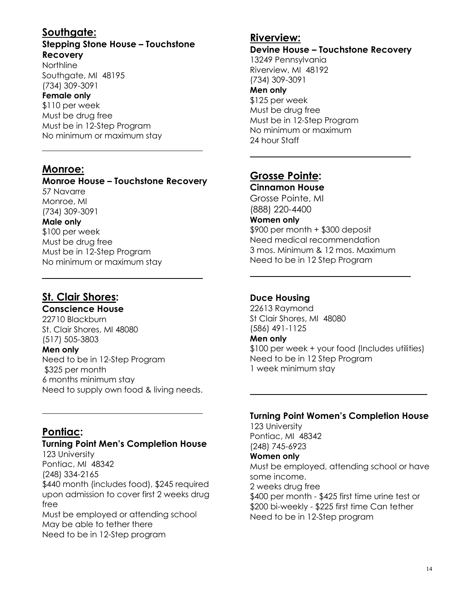## **Southgate:**

#### **Stepping Stone House – Touchstone Recovery**

Northline Southgate, MI 48195 (734) 309-3091

#### **Female only**

\$110 per week Must be drug free Must be in 12-Step Program No minimum or maximum stay

## **Monroe:**

### **Monroe House – Touchstone Recovery**

57 Navarre Monroe, MI (734) 309-3091

#### **Male only**

\$100 per week Must be drug free Must be in 12-Step Program No minimum or maximum stay

## **St. Clair Shores:**

### **Conscience House**

22710 Blackburn St. Clair Shores, MI 48080 (517) 505-3803 **Men only**  Need to be in 12-Step Program \$325 per month 6 months minimum stay Need to supply own food & living needs.

## **Pontiac:**

#### **Turning Point Men's Completion House**

123 University Pontiac, MI 48342 (248) 334-2165 \$440 month (includes food), \$245 required upon admission to cover first 2 weeks drug free Must be employed or attending school

May be able to tether there Need to be in 12-Step program

### **Riverview:**

#### **Devine House – Touchstone Recovery** 13249 Pennsylvania Riverview, MI 48192 (734) 309-3091 **Men only** \$125 per week Must be drug free Must be in 12-Step Program No minimum or maximum 24 hour Staff

## **Grosse Pointe:**

**Cinnamon House** Grosse Pointe, MI (888) 220-4400 **Women only** \$900 per month + \$300 deposit Need medical recommendation 3 mos. Minimum & 12 mos. Maximum Need to be in 12 Step Program

#### **Duce Housing**

22613 Raymond St Clair Shores, MI 48080 (586) 491-1125 **Men only** \$100 per week + your food (Includes utilities)

Need to be in 12 Step Program 1 week minimum stay

### **Turning Point Women's Completion House**

123 University Pontiac, MI 48342 (248) 745-6923

#### **Women only**

Must be employed, attending school or have some income. 2 weeks drug free \$400 per month - \$425 first time urine test or \$200 bi-weekly - \$225 first time Can tether Need to be in 12-Step program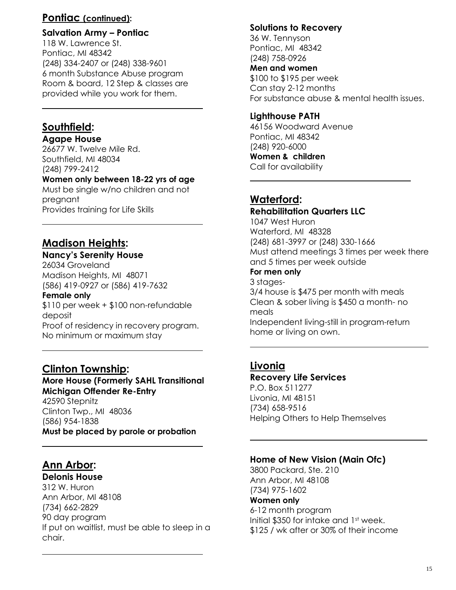### **Pontiac (continued):**

#### **Salvation Army – Pontiac**

118 W. Lawrence St. Pontiac, MI 48342 (248) 334-2407 or (248) 338-9601 6 month Substance Abuse program Room & board, 12 Step & classes are provided while you work for them.

## **Southfield:**

**Agape House**

26677 W. Twelve Mile Rd. Southfield, MI 48034 (248) 799-2412

#### **Women only between 18-22 yrs of age**

Must be single w/no children and not pregnant Provides training for Life Skills

## **Madison Heights:**

#### **Nancy's Serenity House**

26034 Groveland Madison Heights, MI 48071 (586) 419-0927 or (586) 419-7632

#### **Female only**

\$110 per week + \$100 non-refundable deposit Proof of residency in recovery program. No minimum or maximum stay

### **Clinton Township:**

#### **More House (Formerly SAHL Transitional Michigan Offender Re-Entry** 42590 Stepnitz

Clinton Twp., MI 48036 (586) 954-1838 **Must be placed by parole or probation** 

## **Ann Arbor:**

**Delonis House** 312 W. Huron Ann Arbor, MI 48108

(734) 662-2829 90 day program If put on waitlist, must be able to sleep in a chair.

#### **Solutions to Recovery**

36 W. Tennyson Pontiac, MI 48342 (248) 758-0926 **Men and women**  \$100 to \$195 per week Can stay 2-12 months For substance abuse & mental health issues.

#### **Lighthouse PATH**

46156 Woodward Avenue Pontiac, MI 48342 (248) 920-6000 **Women & children** Call for availability

## **Waterford:**

#### **Rehabilitation Quarters LLC** 1047 West Huron Waterford, MI 48328 (248) 681-3997 or (248) 330-1666

Must attend meetings 3 times per week there and 5 times per week outside

#### **For men only** 3 stages-

3/4 house is \$475 per month with meals Clean & sober living is \$450 a month- no meals Independent living-still in program-return home or living on own.

## **Livonia**

## **Recovery Life Services**

P.O. Box 511277 Livonia, MI 48151 (734) 658-9516 Helping Others to Help Themselves

### **Home of New Vision (Main Ofc)**

3800 Packard, Ste. 210 Ann Arbor, MI 48108 (734) 975-1602 **Women only** 6-12 month program Initial \$350 for intake and 1st week. \$125 / wk after or 30% of their income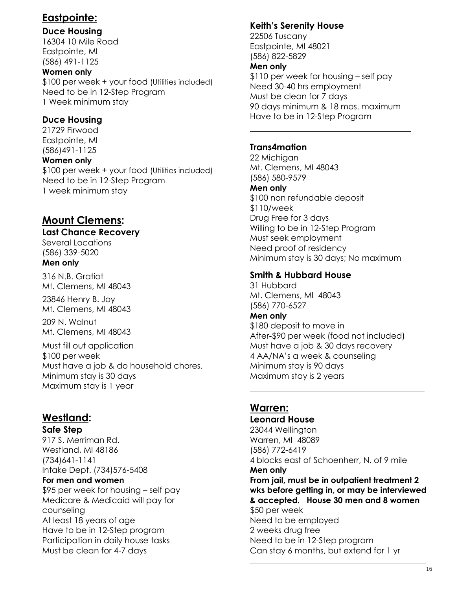## **Eastpointe:**

### **Duce Housing**

16304 10 Mile Road Eastpointe, MI (586) 491-1125

#### **Women only**

\$100 per week + your food (Utilities included) Need to be in 12-Step Program 1 Week minimum stay

### **Duce Housing**

21729 Firwood Eastpointe, MI (586)491-1125

#### **Women only**

\$100 per week + your food (Utilities included) Need to be in 12-Step Program 1 week minimum stay

## **Mount Clemens:**

#### **Last Chance Recovery**

Several Locations (586) 339-5020

#### **Men only**

316 N.B. Gratiot Mt. Clemens, MI 48043

23846 Henry B. Joy Mt. Clemens, MI 48043

209 N. Walnut Mt. Clemens, MI 48043

Must fill out application \$100 per week Must have a job & do household chores. Minimum stay is 30 days Maximum stay is 1 year

## **Westland:**

**Safe Step**

917 S. Merriman Rd. Westland, MI 48186 (734)641-1141 Intake Dept. (734)576-5408

#### **For men and women**

\$95 per week for housing – self pay Medicare & Medicaid will pay for counseling At least 18 years of age Have to be in 12-Step program Participation in daily house tasks Must be clean for 4-7 days

#### **Keith's Serenity House**

22506 Tuscany Eastpointe, MI 48021 (586) 822-5829 **Men only**

\$110 per week for housing – self pay Need 30-40 hrs employment Must be clean for 7 days 90 days minimum & 18 mos. maximum Have to be in 12-Step Program

#### **Trans4mation**

22 Michigan Mt. Clemens, MI 48043 (586) 580-9579

#### **Men only**

\$100 non refundable deposit \$110/week Drug Free for 3 days Willing to be in 12-Step Program Must seek employment Need proof of residency Minimum stay is 30 days; No maximum

#### **Smith & Hubbard House**

31 Hubbard Mt. Clemens, MI 48043 (586) 770-6527

#### **Men only**

\$180 deposit to move in After-\$90 per week (food not included) Must have a job & 30 days recovery 4 AA/NA's a week & counseling Minimum stay is 90 days Maximum stay is 2 years

## **Warren:**

**Leonard House** 23044 Wellington Warren, MI 48089 (586) 772-6419 4 blocks east of Schoenherr, N. of 9 mile **Men only From jail, must be in outpatient treatment 2 wks before getting in, or may be interviewed & accepted. House 30 men and 8 women** \$50 per week Need to be employed 2 weeks drug free Need to be in 12-Step program Can stay 6 months, but extend for 1 yr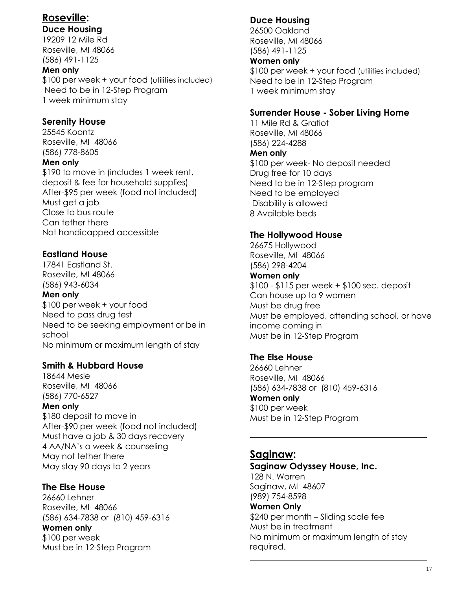## **Roseville:**

### **Duce Housing**

19209 12 Mile Rd Roseville, MI 48066 (586) 491-1125

#### **Men only**

\$100 per week + your food (utilities included) Need to be in 12-Step Program 1 week minimum stay

#### **Serenity House**

25545 Koontz Roseville, MI 48066 (586) 778-8605

#### **Men only**

\$190 to move in (includes 1 week rent, deposit & fee for household supplies) After-\$95 per week (food not included) Must get a job Close to bus route Can tether there Not handicapped accessible

### **Eastland House**

17841 Eastland St. Roseville, MI 48066 (586) 943-6034

#### **Men only**

\$100 per week + your food Need to pass drug test Need to be seeking employment or be in school No minimum or maximum length of stay

## **Smith & Hubbard House**

18644 Mesle Roseville, MI 48066 (586) 770-6527

#### **Men only**

\$180 deposit to move in After-\$90 per week (food not included) Must have a job & 30 days recovery 4 AA/NA's a week & counseling May not tether there May stay 90 days to 2 years

### **The Else House**

26660 Lehner Roseville, MI 48066 (586) 634-7838 or (810) 459-6316

#### **Women only**

\$100 per week Must be in 12-Step Program

## **Duce Housing**

26500 Oakland Roseville, MI 48066 (586) 491-1125

#### **Women only**

\$100 per week + your food (utilities included) Need to be in 12-Step Program 1 week minimum stay

#### **Surrender House - Sober Living Home**

11 Mile Rd & Gratiot Roseville, MI 48066 (586) 224-4288 **Men only** \$100 per week- No deposit needed Drug free for 10 days Need to be in 12-Step program Need to be employed Disability is allowed 8 Available beds

### **The Hollywood House**

26675 Hollywood Roseville, MI 48066 (586) 298-4204 **Women only** \$100 - \$115 per week + \$100 sec. deposit Can house up to 9 women Must be drug free Must be employed, attending school, or have

income coming in Must be in 12-Step Program

### **The Else House**

26660 Lehner Roseville, MI 48066 (586) 634-7838 or (810) 459-6316 **Women only** \$100 per week Must be in 12-Step Program

### **Saginaw:**

**Saginaw Odyssey House, Inc.** 128 N. Warren Saginaw, MI 48607 (989) 754-8598 **Women Only** \$240 per month – Sliding scale fee Must be in treatment No minimum or maximum length of stay required.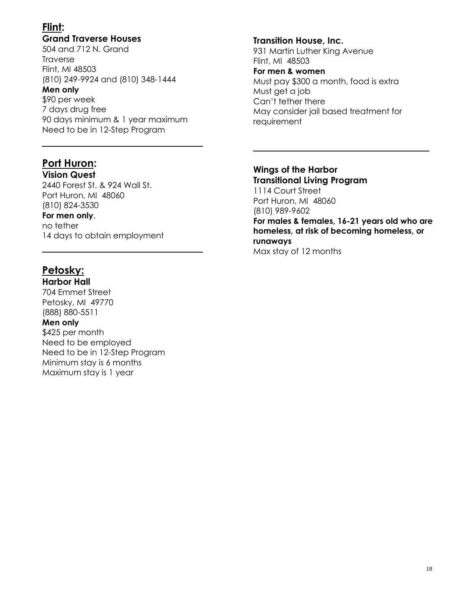## **Flint:**

#### **Grand Traverse Houses**

504 and 712 N. Grand **Traverse** Flint, MI 48503 (810) 249-9924 and (810) 348-1444

#### **Men only**

\$90 per week 7 days drug free 90 days minimum & 1 year maximum Need to be in 12-Step Program

#### **Port Huron:**

**Vision Quest** 2440 Forest St. & 924 Wall St. Port Huron, MI 48060 (810) 824-3530

#### **For men only**,

no tether 14 days to obtain employment

## **Petosky:**

**Harbor Hall** 704 Emmet Street Petosky, MI 49770 (888) 880-5511

#### **Men only**

\$425 per month Need to be employed Need to be in 12-Step Program Minimum stay is 6 months Maximum stay is 1 year

#### **Transition House, Inc.**

931 Martin Luther King Avenue Flint, MI 48503

#### **For men & women**

Must pay \$300 a month, food is extra Must get a job Can't tether there May consider jail based treatment for requirement

#### **Wings of the Harbor Transitional Living Program**

1114 Court Street Port Huron, MI 48060 (810) 989-9602

**For males & females, 16-21 years old who are homeless, at risk of becoming homeless, or runaways**

Max stay of 12 months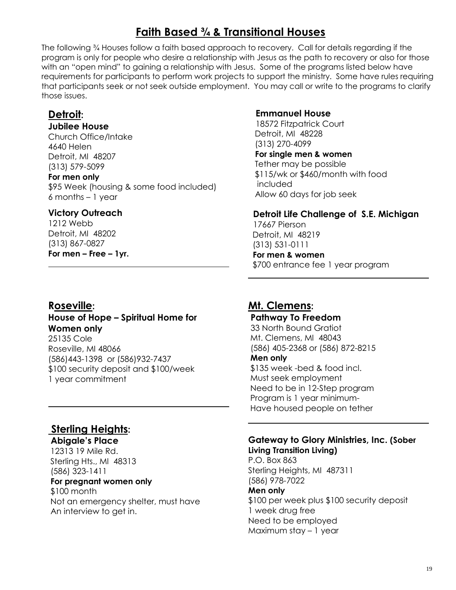## **Faith Based ¾ & Transitional Houses**

The following ¾ Houses follow a faith based approach to recovery. Call for details regarding if the program is only for people who desire a relationship with Jesus as the path to recovery or also for those with an "open mind" to gaining a relationship with Jesus. Some of the programs listed below have requirements for participants to perform work projects to support the ministry. Some have rules requiring that participants seek or not seek outside employment. You may call or write to the programs to clarify those issues.

### **Detroit:**

#### **Jubilee House**

Church Office/Intake 4640 Helen Detroit, MI 48207 (313) 579-5099

#### **For men only**

\$95 Week (housing & some food included) 6 months – 1 year

#### **Victory Outreach**

1212 Webb Detroit, MI 48202 (313) 867-0827 **For men – Free – 1yr.**

### **Roseville:**

### **House of Hope – Spiritual Home for Women only**

25135 Cole Roseville, MI 48066 (586)443-1398 or (586)932-7437 \$100 security deposit and \$100/week 1 year commitment

## **Sterling Heights:**

**Abigale's Place** 12313 19 Mile Rd. Sterling Hts., MI 48313 (586) 323-1411

#### **For pregnant women only**

\$100 month Not an emergency shelter, must have An interview to get in.

#### **Emmanuel House**

18572 Fitzpatrick Court Detroit, MI 48228 (313) 270-4099 **For single men & women** Tether may be possible \$115/wk or \$460/month with food included Allow 60 days for job seek

#### **Detroit Life Challenge of S.E. Michigan**

17667 Pierson Detroit, MI 48219 (313) 531-0111

### **For men & women**

\$700 entrance fee 1 year program

### **Mt. Clemens:**

## **Pathway To Freedom**

33 North Bound Gratiot Mt. Clemens, MI 48043 (586) 405-2368 or (586) 872-8215 **Men only** \$135 week -bed & food incl.

Must seek employment Need to be in 12-Step program Program is 1 year minimum-Have housed people on tether

#### **Gateway to Glory Ministries, Inc. (Sober Living Transition Living)**

P.O. Box 863 Sterling Heights, MI 487311 (586) 978-7022 **Men only** \$100 per week plus \$100 security deposit 1 week drug free Need to be employed Maximum stay – 1 year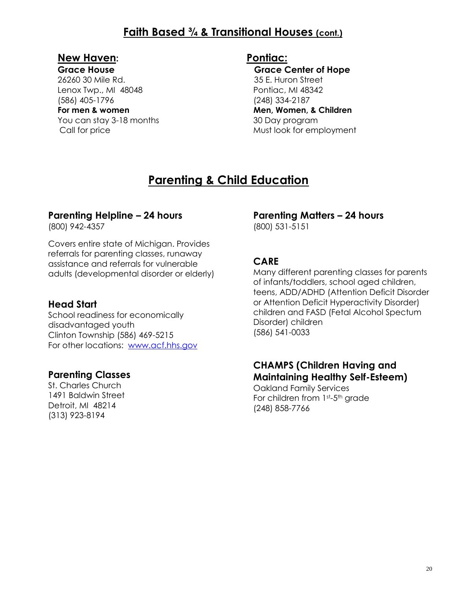## **Faith Based ¾ & Transitional Houses (cont.)**

## **New Haven:**

#### **Grace House**

26260 30 Mile Rd. Lenox Twp., MI 48048 (586) 405-1796 **For men & women** You can stay 3-18 months Call for price

## **Pontiac:**

 **Grace Center of Hope** 35 E. Huron Street Pontiac, MI 48342 (248) 334-2187  **Men, Women, & Children** 30 Day program Must look for employment

## **Parenting & Child Education**

## **Parenting Helpline – 24 hours**

(800) 942-4357

Covers entire state of Michigan. Provides referrals for parenting classes, runaway assistance and referrals for vulnerable adults (developmental disorder or elderly)

## **Head Start**

School readiness for economically disadvantaged youth Clinton Township (586) 469-5215 For other locations: [www.acf.hhs.gov](http://www.acf.hhs.gov/)

## **Parenting Classes**

St. Charles Church 1491 Baldwin Street Detroit, MI 48214 (313) 923-8194

## **Parenting Matters – 24 hours**

(800) 531-5151

### **CARE**

Many different parenting classes for parents of infants/toddlers, school aged children, teens, ADD/ADHD (Attention Deficit Disorder or Attention Deficit Hyperactivity Disorder) children and FASD (Fetal Alcohol Spectum Disorder) children (586) 541-0033

### **CHAMPS (Children Having and Maintaining Healthy Self-Esteem)**

Oakland Family Services For children from 1st-5th grade (248) 858-7766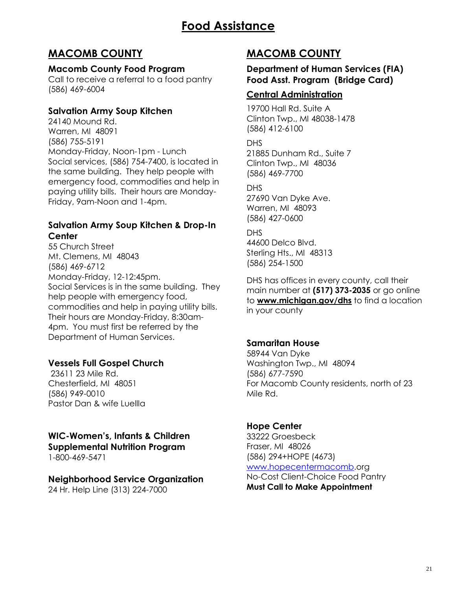## **MACOMB COUNTY**

#### **Macomb County Food Program**

Call to receive a referral to a food pantry (586) 469-6004

### **Salvation Army Soup Kitchen**

24140 Mound Rd. Warren, MI 48091 (586) 755-5191 Monday-Friday, Noon-1pm - Lunch Social services, (586) 754-7400, is located in the same building. They help people with emergency food, commodities and help in paying utility bills. Their hours are Monday-Friday, 9am-Noon and 1-4pm.

#### **Salvation Army Soup Kitchen & Drop-In Center**

55 Church Street Mt. Clemens, MI 48043 (586) 469-6712 Monday-Friday, 12-12:45pm. Social Services is in the same building. They help people with emergency food, commodities and help in paying utility bills. Their hours are Monday-Friday, 8:30am-4pm. You must first be referred by the Department of Human Services.

### **Vessels Full Gospel Church**

23611 23 Mile Rd. Chesterfield, MI 48051 (586) 949-0010 Pastor Dan & wife Luellla

#### **WIC-Women's, Infants & Children Supplemental Nutrition Program** 1-800-469-5471

#### **Neighborhood Service Organization**

24 Hr. Help Line (313) 224-7000

## **MACOMB COUNTY**

#### **Department of Human Services (FIA) Food Asst. Program (Bridge Card)**

### **Central Administration**

19700 Hall Rd. Suite A Clinton Twp., MI 48038-1478 (586) 412-6100

DHS

21885 Dunham Rd., Suite 7 Clinton Twp., MI 48036 (586) 469-7700

DHS 27690 Van Dyke Ave. Warren, MI 48093 (586) 427-0600

DHS 44600 Delco Blvd. Sterling Hts., MI 48313 (586) 254-1500

DHS has offices in every county, call their main number at **(517) 373-2035** or go online to **[www.michigan.gov/dhs](http://www.michigan.gov/dhs)** to find a location in your county

### **Samaritan House**

58944 Van Dyke Washington Twp., MI 48094 (586) 677-7590 For Macomb County residents, north of 23 Mile Rd.

### **Hope Center**

33222 Groesbeck Fraser, MI 48026 (586) 294+HOPE (4673) [www.hopecentermacomb.](http://www.hopecentermacomb/)org No-Cost Client-Choice Food Pantry **Must Call to Make Appointment**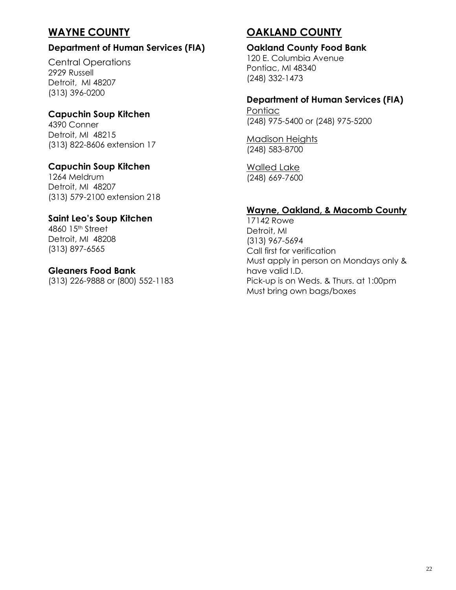## **WAYNE COUNTY**

#### **Department of Human Services (FIA)**

Central Operations 2929 Russell Detroit, MI 48207 (313) 396-0200

#### **Capuchin Soup Kitchen**

4390 Conner Detroit, MI 48215 (313) 822-8606 extension 17

#### **Capuchin Soup Kitchen**

1264 Meldrum Detroit, MI 48207 (313) 579-2100 extension 218

#### **Saint Leo's Soup Kitchen**

4860 15th Street Detroit, MI 48208 (313) 897-6565

#### **Gleaners Food Bank**

(313) 226-9888 or (800) 552-1183

## **OAKLAND COUNTY**

#### **Oakland County Food Bank**

120 E. Columbia Avenue Pontiac, MI 48340 (248) 332-1473

#### **Department of Human Services (FIA)**

**Pontiac** (248) 975-5400 or (248) 975-5200

Madison Heights (248) 583-8700

Walled Lake (248) 669-7600

#### **Wayne, Oakland, & Macomb County**

17142 Rowe Detroit, MI (313) 967-5694 Call first for verification Must apply in person on Mondays only & have valid I.D. Pick-up is on Weds. & Thurs. at 1:00pm Must bring own bags/boxes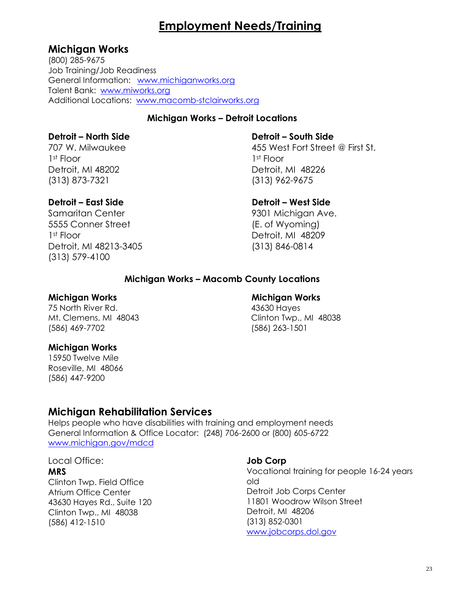## **Employment Needs/Training**

### **Michigan Works**

(800) 285-9675 Job Training/Job Readiness General Information: [www.michiganworks.org](http://www.michiganworks.org/) Talent Bank: [www.miworks.org](http://www.miworks.org/) Additional Locations: [www.macomb-stclairworks.org](http://www.macomb-stclairworks.org/)

#### **Michigan Works – Detroit Locations**

#### **Detroit – North Side**

707 W. Milwaukee 1st Floor Detroit, MI 48202 (313) 873-7321

#### **Detroit – East Side**

Samaritan Center 5555 Conner Street 1st Floor Detroit, MI 48213-3405 (313) 579-4100

 **Detroit – South Side**

 455 West Fort Street @ First St. 1st Floor Detroit, MI 48226 (313) 962-9675

#### **Detroit – West Side**

 9301 Michigan Ave. (E. of Wyoming) Detroit, MI 48209 (313) 846-0814

#### **Michigan Works – Macomb County Locations**

#### **Michigan Works**

75 North River Rd. Mt. Clemens, MI 48043 (586) 469-7702

#### **Michigan Works**

15950 Twelve Mile Roseville, MI 48066 (586) 447-9200

#### **Michigan Works**

 43630 Hayes Clinton Twp., MI 48038 (586) 263-1501

## **Michigan Rehabilitation Services**

Helps people who have disabilities with training and employment needs General Information & Office Locator: (248) 706-2600 or (800) 605-6722 [www.michigan.gov/mdcd](http://www.michigan.gov/mdcd)

Local Office:

#### **MRS**

Clinton Twp. Field Office Atrium Office Center 43630 Hayes Rd., Suite 120 Clinton Twp., MI 48038 (586) 412-1510

#### **Job Corp**

Vocational training for people 16-24 years old Detroit Job Corps Center 11801 Woodrow Wilson Street Detroit, MI 48206 (313) 852-0301 [www.jobcorps.dol.gov](http://www.jobcorps.dol.gov/)